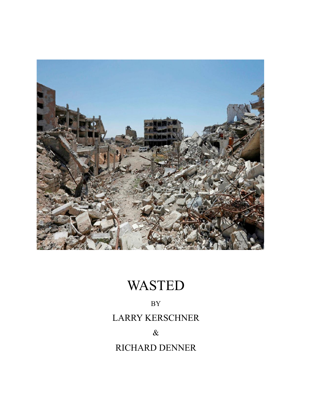

# WASTED

## BY

# LARRY KERSCHNER

 $\&$ 

# RICHARD DENNER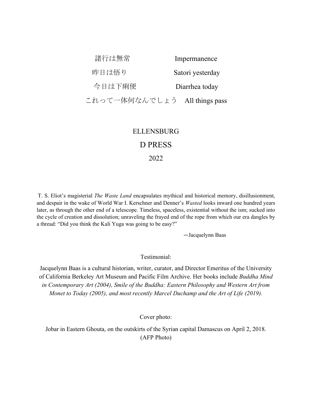| 諸行は無常                         | Impermanence     |
|-------------------------------|------------------|
| 昨日は悟り                         | Satori yesterday |
| 今日は下痢便                        | Diarrhea today   |
| これって一体何なんでしょう All things pass |                  |
|                               |                  |

### ELLENSBURG D PRESS

2022

T. S. Eliot's magisterial *The Waste Land* encapsulates mythical and historical memory, disillusionment, and despair in the wake of World War I. Kerschner and Denner's *Wasted* looks inward one hundred years later, as through the other end of a telescope. Timeless, spaceless, existential without the ism; sucked into the cycle of creation and dissolution; unraveling the frayed end of the rope from which our era dangles by a thread: "Did you think the Kali Yuga was going to be easy?"

—Jacquelynn Baas

Testimonial:

Jacquelynn Baas is a cultural historian, writer, curator, and Director Emeritus of the University of California Berkeley Art Museum and Pacific Film Archive. Her books include *Buddha Mind in Contemporary Art (2004), Smile of the Buddha: Eastern Philosophy and Western Art from Monet to Today (2005), and most recently Marcel Duchamp and the Art of Life (2019).*

Cover photo:

Jobar in Eastern Ghouta, on the outskirts of the Syrian capital Damascus on April 2, 2018. (AFP Photo)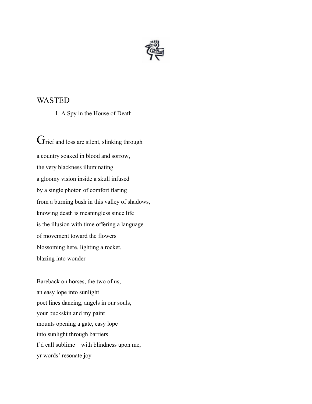

### WASTED

1. A Spy in the House of Death

Grief and loss are silent, slinking through a country soaked in blood and sorrow, the very blackness illuminating a gloomy vision inside a skull infused by a single photon of comfort flaring from a burning bush in this valley of shadows, knowing death is meaningless since life is the illusion with time offering a language of movement toward the flowers blossoming here, lighting a rocket, blazing into wonder

Bareback on horses, the two of us, an easy lope into sunlight poet lines dancing, angels in our souls, your buckskin and my paint mounts opening a gate, easy lope into sunlight through barriers I'd call sublime—with blindness upon me, yr words' resonate joy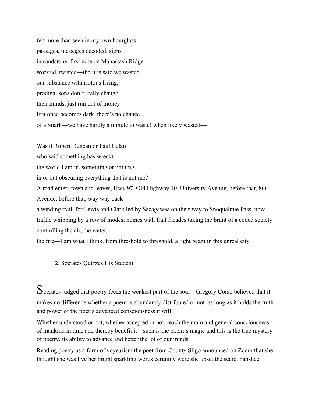felt more than seen in my own hourglass passages, messages decoded, signs in sandstone, first note on Manastash Ridge worsted, twisted—tho it is said we wasted our substance with riotous living, prodigal sons don't really change their minds, just run out of money If it once becomes dark, there's no chance of a Snark—we have hardly a minute to waste! when likely wasted—

Was it Robert Duncan or Paul Celan who said something has wreckt the world I am in, something or nothing, in or out obscuring everything that is not me? A road enters town and leaves, Hwy 97, Old Highway 10, University Avenue, before that, 8th Avenue, before that, way way back a winding trail, for Lewis and Clark led by Sacagawea on their way to Snoqualmie Pass, now traffic whipping by a row of modest homes with frail facades taking the brunt of a coded society

controlling the air, the water,

the fire—I am what I think, from threshold to threshold. a light beam in this unreal city

2. Socrates Quizzes His Student

Socrates judged that poetry feeds the weakest part of the soul—Gregory Corso believed that it makes no difference whether a poem is abundantly distributed or not as long as it holds the truth and power of the poet's advanced consciousness it will

Whether understood or not, whether accepted or not, reach the main and general consciousness of mankind in time and thereby benefit it—such is the poem's magic and this is the true mystery of poetry, its ability to advance and better the lot of our minds

Reading poetry as a form of voyeurism the poet from County Sligo announced on Zoom that she thought she was live her bright sparkling words certainly were she upset the secret banshee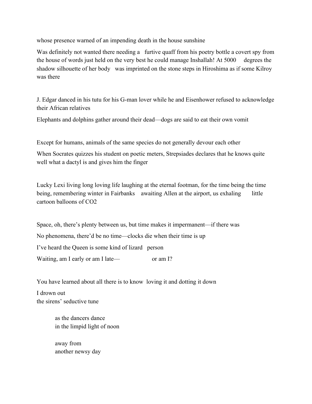whose presence warned of an impending death in the house sunshine

Was definitely not wanted there needing a furtive quaff from his poetry bottle a covert spy from the house of words just held on the very best he could manage Inshallah! At 5000 degrees the shadow silhouette of her body was imprinted on the stone steps in Hiroshima as if some Kilroy was there

J. Edgar danced in his tutu for his G-man lover while he and Eisenhower refused to acknowledge their African relatives

Elephants and dolphins gather around their dead—dogs are said to eat their own vomit

Except for humans, animals of the same species do not generally devour each other

When Socrates quizzes his student on poetic meters, Strepsiades declares that he knows quite well what a dactyl is and gives him the finger

Lucky Lexi living long loving life laughing at the eternal footman, for the time being the time being, remembering winter in Fairbanks awaiting Allen at the airport, us exhaling little cartoon balloons of CO2

Space, oh, there's plenty between us, but time makes it impermanent—if there was No phenomena, there'd be no time—clocks die when their time is up I've heard the Queen is some kind of lizard person Waiting, am I early or am I late— or am I?

You have learned about all there is to know loving it and dotting it down

I drown out the sirens' seductive tune

> as the dancers dance in the limpid light of noon

away from another newsy day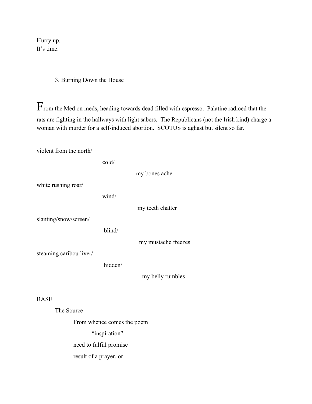Hurry up. It's time.

#### 3. Burning Down the House

 $\Gamma$ rom the Med on meds, heading towards dead filled with espresso. Palatine radioed that the rats are fighting in the hallways with light sabers. The Republicans (not the Irish kind) charge a woman with murder for a self-induced abortion. SCOTUS is aghast but silent so far.

violent from the north/

 cold/ my bones ache white rushing roar/ wind/ my teeth chatter slanting/snow/screen/ blind/ my mustache freezes steaming caribou liver/ hidden/ my belly rumbles **BASE** The Source From whence comes the poem

"inspiration"

need to fulfill promise

result of a prayer, or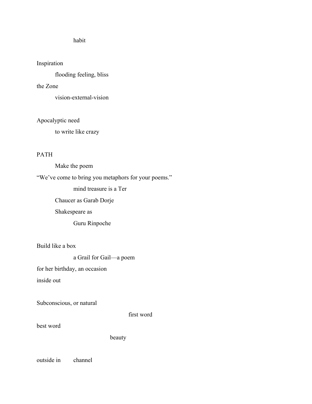#### habit

#### Inspiration

flooding feeling, bliss

#### the Zone

vision-external-vision

#### Apocalyptic need

to write like crazy

#### PATH

Make the poem

"We've come to bring you metaphors for your poems."

mind treasure is a Ter

Chaucer as Garab Dorje

Shakespeare as

Guru Rinpoche

Build like a box

a Grail for Gail—a poem

for her birthday, an occasion

inside out

Subconscious, or natural

first word

best word

beauty

outside in channel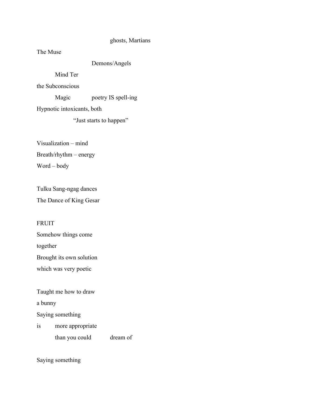#### ghosts, Martians

The Muse

Demons/Angels

Mind Ter

the Subconscious

Magic poetry IS spell-ing

Hypnotic intoxicants, both

"Just starts to happen"

Visualization – mind

Breath/rhythm – energy

Word – body

Tulku Sang-ngag dances The Dance of King Gesar

#### FRUIT

Somehow things come together Brought its own solution

which was very poetic

Taught me how to draw

a bunny

Saying something

is more appropriate

than you could dream of

Saying something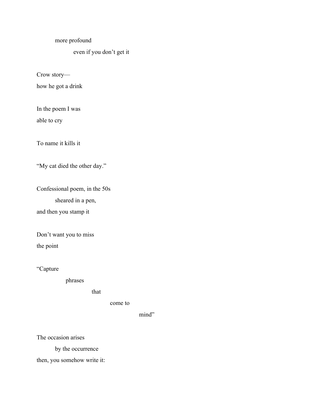#### more profound

### even if you don't get it

Crow story—

how he got a drink

In the poem I was

able to cry

To name it kills it

"My cat died the other day."

Confessional poem, in the 50s sheared in a pen,

and then you stamp it

Don't want you to miss

the point

"Capture

phrases

that

come to

mind"

The occasion arises

by the occurrence

then, you somehow write it: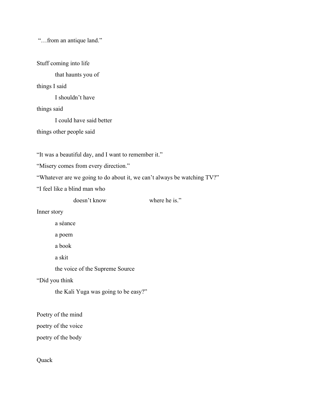"…from an antique land."

Stuff coming into life

that haunts you of

#### things I said

I shouldn't have

things said

I could have said better

things other people said

"It was a beautiful day, and I want to remember it."

"Misery comes from every direction."

"Whatever are we going to do about it, we can't always be watching TV?"

"I feel like a blind man who

doesn't know where he is."

Inner story

a séance a poem a book a skit the voice of the Supreme Source

"Did you think

the Kali Yuga was going to be easy?"

Poetry of the mind

poetry of the voice

poetry of the body

Quack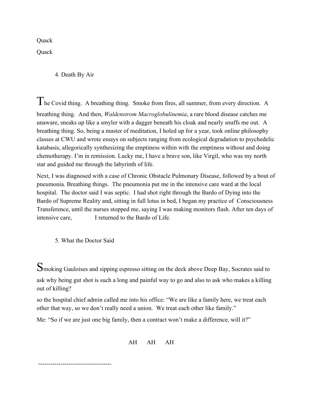**Quack** 

**Quack** 

4. Death By Air

The Covid thing. A breathing thing. Smoke from fires, all summer, from every direction. <sup>A</sup> breathing thing. And then, *Waldenstrom Macroglobulinemia*, a rare blood disease catches me unaware, sneaks up like a smyler with a dagger beneath his cloak and nearly snuffs me out. A breathing thing. So, being a master of meditation, I holed up for a year, took online philosophy classes at CWU and wrote essays on subjects ranging from ecological degradation to psychedelic katabasis, allegorically synthesizing the emptiness within with the emptiness without and doing chemotherapy. I'm in remission. Lucky me, I have a brave son, like Virgil, who was my north star and guided me through the labyrinth of life.

Next, I was diagnosed with a case of Chronic Obstacle Pulmonary Disease, followed by a bout of pneumonia. Breathing things. The pneumonia put me in the intensive care ward at the local hospital. The doctor said I was septic. I had shot right through the Bardo of Dying into the Bardo of Supreme Reality and, sitting in full lotus in bed, I began my practice of Consciousness Transference, until the nurses stopped me, saying I was making monitors flash. After ten days of intensive care, I returned to the Bardo of Life.

5. What the Doctor Said

Smoking Gauloises and sipping espresso sitting on the deck above Deep Bay, Socrates said to ask why being gut shot is such a long and painful way to go and also to ask who makes a killing out of killing?

so the hospital chief admin called me into his office: "We are like a family here, we treat each other that way, so we don't really need a union. We treat each other like family."

Me: "So if we are just one big family, then a contract won't make a difference, will it?"

$$
\mathbf{AH} \quad \mathbf{AH} \quad \mathbf{AH}
$$

------------------------------------